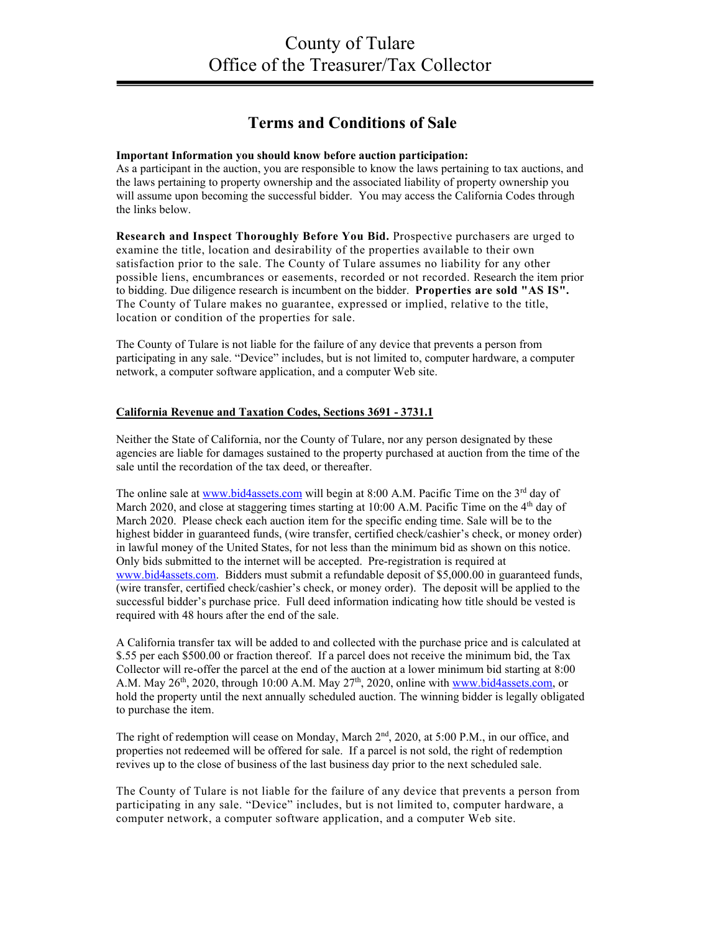## **Terms and Conditions of Sale**

## **Important Information you should know before auction participation:**

As a participant in the auction, you are responsible to know the laws pertaining to tax auctions, and the laws pertaining to property ownership and the associated liability of property ownership you will assume upon becoming the successful bidder. You may access the California Codes through the links below.

**Research and Inspect Thoroughly Before You Bid.** Prospective purchasers are urged to examine the title, location and desirability of the properties available to their own satisfaction prior to the sale. The County of Tulare assumes no liability for any other possible liens, encumbrances or easements, recorded or not recorded. Research the item prior to bidding. Due diligence research is incumbent on the bidder. **Properties are sold "AS IS".**  The County of Tulare makes no guarantee, expressed or implied, relative to the title, location or condition of the properties for sale.

The County of Tulare is not liable for the failure of any device that prevents a person from participating in any sale. "Device" includes, but is not limited to, computer hardware, a computer network, a computer software application, and a computer Web site.

## **[California Revenue and Taxation Codes,](http://www.leginfo.ca.gov/cgi-bin/displaycode?section=rtc&group=03001-04000&file=3691-3731.1) Sections 3691 - 3731.1**

Neither the State of California, nor the County of Tulare, nor any person designated by these agencies are liable for damages sustained to the property purchased at auction from the time of the sale until the recordation of the tax deed, or thereafter.

The online sale at [www.bid4assets.com](http://www.bid4assets.com/) will begin at 8:00 A.M. Pacific Time on the  $3<sup>rd</sup>$  day of March 2020, and close at staggering times starting at 10:00 A.M. Pacific Time on the  $4<sup>th</sup>$  day of March 2020. Please check each auction item for the specific ending time. Sale will be to the highest bidder in guaranteed funds, (wire transfer, certified check/cashier's check, or money order) in lawful money of the United States, for not less than the minimum bid as shown on this notice. Only bids submitted to the internet will be accepted. Pre-registration is required at [www.bid4assets.com.](http://www.bid4assets.com/) Bidders must submit a refundable deposit of \$5,000.00 in guaranteed funds, (wire transfer, certified check/cashier's check, or money order). The deposit will be applied to the successful bidder's purchase price. Full deed information indicating how title should be vested is required with 48 hours after the end of the sale.

A California transfer tax will be added to and collected with the purchase price and is calculated at \$.55 per each \$500.00 or fraction thereof. If a parcel does not receive the minimum bid, the Tax Collector will re-offer the parcel at the end of the auction at a lower minimum bid starting at 8:00 A.M. May  $26<sup>th</sup>$ , 2020, through 10:00 A.M. May  $27<sup>th</sup>$ , 2020, online with [www.bid4assets.com,](http://www.bid4assets.com/) or hold the property until the next annually scheduled auction. The winning bidder is legally obligated to purchase the item.

The right of redemption will cease on Monday, March 2<sup>nd</sup>, 2020, at 5:00 P.M., in our office, and properties not redeemed will be offered for sale. If a parcel is not sold, the right of redemption revives up to the close of business of the last business day prior to the next scheduled sale.

The County of Tulare is not liable for the failure of any device that prevents a person from participating in any sale. "Device" includes, but is not limited to, computer hardware, a computer network, a computer software application, and a computer Web site.